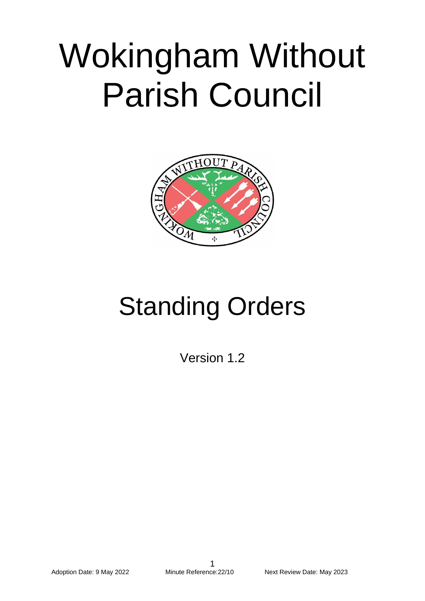# Wokingham Without Parish Council



## Standing Orders

Version 1.2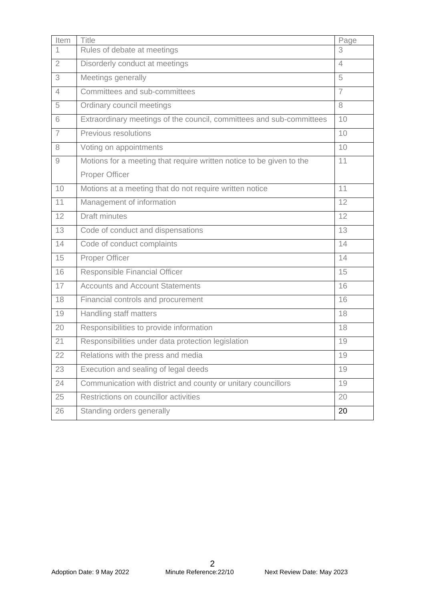| Item           | <b>Title</b>                                                         | Page |
|----------------|----------------------------------------------------------------------|------|
| 1              | Rules of debate at meetings                                          | 3    |
| $\overline{2}$ | Disorderly conduct at meetings                                       | 4    |
| 3              | Meetings generally                                                   | 5    |
| $\overline{4}$ | Committees and sub-committees                                        | 7    |
| 5              | Ordinary council meetings                                            | 8    |
| 6              | Extraordinary meetings of the council, committees and sub-committees | 10   |
| $\overline{7}$ | Previous resolutions                                                 | 10   |
| 8              | Voting on appointments                                               | 10   |
| 9              | Motions for a meeting that require written notice to be given to the | 11   |
|                | Proper Officer                                                       |      |
| 10             | Motions at a meeting that do not require written notice              | 11   |
| 11             | Management of information                                            | 12   |
| 12             | <b>Draft minutes</b>                                                 | 12   |
| 13             | Code of conduct and dispensations                                    | 13   |
| 14             | Code of conduct complaints                                           | 14   |
| 15             | Proper Officer                                                       | 14   |
| 16             | Responsible Financial Officer                                        | 15   |
| 17             | <b>Accounts and Account Statements</b>                               | 16   |
| 18             | Financial controls and procurement                                   | 16   |
| 19             | Handling staff matters                                               | 18   |
| 20             | Responsibilities to provide information                              | 18   |
| 21             | Responsibilities under data protection legislation                   | 19   |
| 22             | Relations with the press and media                                   | 19   |
| 23             | Execution and sealing of legal deeds                                 | 19   |
| 24             | Communication with district and county or unitary councillors        | 19   |
| 25             | Restrictions on councillor activities                                | 20   |
| 26             | Standing orders generally                                            | 20   |
|                |                                                                      |      |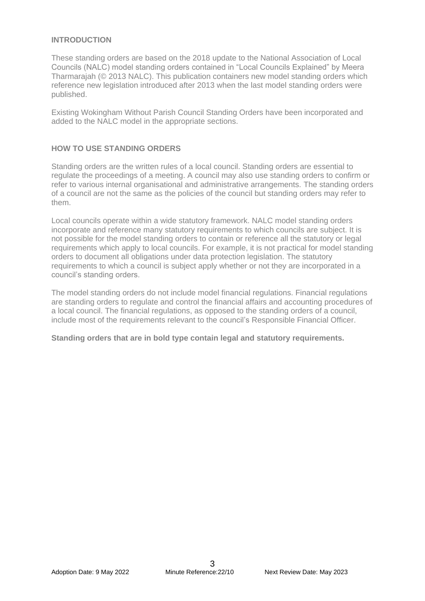#### **INTRODUCTION**

These standing orders are based on the 2018 update to the National Association of Local Councils (NALC) model standing orders contained in "Local Councils Explained" by Meera Tharmarajah (© 2013 NALC). This publication containers new model standing orders which reference new legislation introduced after 2013 when the last model standing orders were published.

Existing Wokingham Without Parish Council Standing Orders have been incorporated and added to the NALC model in the appropriate sections.

#### **HOW TO USE STANDING ORDERS**

Standing orders are the written rules of a local council. Standing orders are essential to regulate the proceedings of a meeting. A council may also use standing orders to confirm or refer to various internal organisational and administrative arrangements. The standing orders of a council are not the same as the policies of the council but standing orders may refer to them.

Local councils operate within a wide statutory framework. NALC model standing orders incorporate and reference many statutory requirements to which councils are subject. It is not possible for the model standing orders to contain or reference all the statutory or legal requirements which apply to local councils. For example, it is not practical for model standing orders to document all obligations under data protection legislation. The statutory requirements to which a council is subject apply whether or not they are incorporated in a council's standing orders.

The model standing orders do not include model financial regulations. Financial regulations are standing orders to regulate and control the financial affairs and accounting procedures of a local council. The financial regulations, as opposed to the standing orders of a council, include most of the requirements relevant to the council's Responsible Financial Officer.

**Standing orders that are in bold type contain legal and statutory requirements.**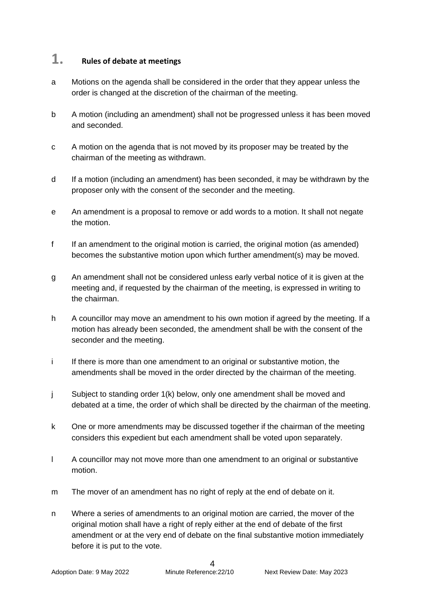## **1. Rules of debate at meetings**

- a Motions on the agenda shall be considered in the order that they appear unless the order is changed at the discretion of the chairman of the meeting.
- b A motion (including an amendment) shall not be progressed unless it has been moved and seconded.
- c A motion on the agenda that is not moved by its proposer may be treated by the chairman of the meeting as withdrawn.
- d If a motion (including an amendment) has been seconded, it may be withdrawn by the proposer only with the consent of the seconder and the meeting.
- e An amendment is a proposal to remove or add words to a motion. It shall not negate the motion.
- f If an amendment to the original motion is carried, the original motion (as amended) becomes the substantive motion upon which further amendment(s) may be moved.
- g An amendment shall not be considered unless early verbal notice of it is given at the meeting and, if requested by the chairman of the meeting, is expressed in writing to the chairman.
- h A councillor may move an amendment to his own motion if agreed by the meeting. If a motion has already been seconded, the amendment shall be with the consent of the seconder and the meeting.
- i If there is more than one amendment to an original or substantive motion, the amendments shall be moved in the order directed by the chairman of the meeting.
- j Subject to standing order 1(k) below, only one amendment shall be moved and debated at a time, the order of which shall be directed by the chairman of the meeting.
- k One or more amendments may be discussed together if the chairman of the meeting considers this expedient but each amendment shall be voted upon separately.
- l A councillor may not move more than one amendment to an original or substantive motion.
- m The mover of an amendment has no right of reply at the end of debate on it.
- n Where a series of amendments to an original motion are carried, the mover of the original motion shall have a right of reply either at the end of debate of the first amendment or at the very end of debate on the final substantive motion immediately before it is put to the vote.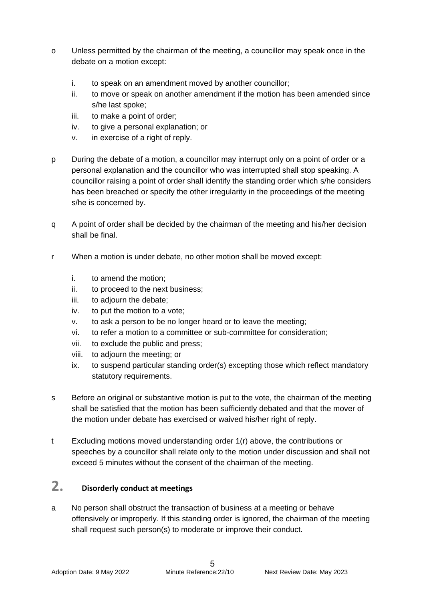- o Unless permitted by the chairman of the meeting, a councillor may speak once in the debate on a motion except:
	- i. to speak on an amendment moved by another councillor;
	- ii. to move or speak on another amendment if the motion has been amended since s/he last spoke;
	- iii. to make a point of order;
	- iv. to give a personal explanation; or
	- v. in exercise of a right of reply.
- p During the debate of a motion, a councillor may interrupt only on a point of order or a personal explanation and the councillor who was interrupted shall stop speaking. A councillor raising a point of order shall identify the standing order which s/he considers has been breached or specify the other irregularity in the proceedings of the meeting s/he is concerned by.
- q A point of order shall be decided by the chairman of the meeting and his/her decision shall be final.
- r When a motion is under debate, no other motion shall be moved except:
	- i. to amend the motion;
	- ii. to proceed to the next business;
	- iii. to adjourn the debate;
	- iv. to put the motion to a vote;
	- v. to ask a person to be no longer heard or to leave the meeting;
	- vi. to refer a motion to a committee or sub-committee for consideration;
	- vii. to exclude the public and press;
	- viii. to adjourn the meeting; or
	- ix. to suspend particular standing order(s) excepting those which reflect mandatory statutory requirements.
- s Before an original or substantive motion is put to the vote, the chairman of the meeting shall be satisfied that the motion has been sufficiently debated and that the mover of the motion under debate has exercised or waived his/her right of reply.
- t Excluding motions moved understanding order 1(r) above, the contributions or speeches by a councillor shall relate only to the motion under discussion and shall not exceed 5 minutes without the consent of the chairman of the meeting.

## **2. Disorderly conduct at meetings**

a No person shall obstruct the transaction of business at a meeting or behave offensively or improperly. If this standing order is ignored, the chairman of the meeting shall request such person(s) to moderate or improve their conduct.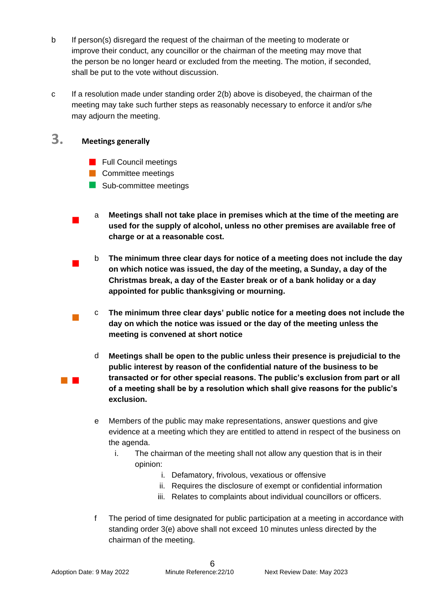- b If person(s) disregard the request of the chairman of the meeting to moderate or improve their conduct, any councillor or the chairman of the meeting may move that the person be no longer heard or excluded from the meeting. The motion, if seconded, shall be put to the vote without discussion.
- c If a resolution made under standing order 2(b) above is disobeyed, the chairman of the meeting may take such further steps as reasonably necessary to enforce it and/or s/he may adjourn the meeting.

## **3. Meetings generally**

 $\blacksquare$ 

a ka

- **Full Council meetings**
- **Committee meetings**
- Sub-committee meetings
- a **Meetings shall not take place in premises which at the time of the meeting are used for the supply of alcohol, unless no other premises are available free of charge or at a reasonable cost.**
- $\blacksquare$ b **The minimum three clear days for notice of a meeting does not include the day on which notice was issued, the day of the meeting, a Sunday, a day of the Christmas break, a day of the Easter break or of a bank holiday or a day appointed for public thanksgiving or mourning.**
- $\mathbb{R}^3$ c **The minimum three clear days' public notice for a meeting does not include the day on which the notice was issued or the day of the meeting unless the meeting is convened at short notice**
	- d **Meetings shall be open to the public unless their presence is prejudicial to the public interest by reason of the confidential nature of the business to be transacted or for other special reasons. The public's exclusion from part or all of a meeting shall be by a resolution which shall give reasons for the public's exclusion.**
	- e Members of the public may make representations, answer questions and give evidence at a meeting which they are entitled to attend in respect of the business on the agenda.
		- i. The chairman of the meeting shall not allow any question that is in their opinion:
			- i. Defamatory, frivolous, vexatious or offensive
			- ii. Requires the disclosure of exempt or confidential information
			- iii. Relates to complaints about individual councillors or officers.
	- f The period of time designated for public participation at a meeting in accordance with standing order 3(e) above shall not exceed 10 minutes unless directed by the chairman of the meeting.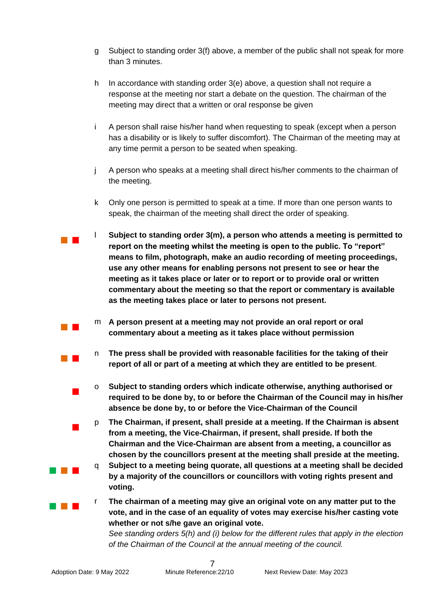- g Subject to standing order 3(f) above, a member of the public shall not speak for more than 3 minutes.
- h In accordance with standing order 3(e) above, a question shall not require a response at the meeting nor start a debate on the question. The chairman of the meeting may direct that a written or oral response be given
- i A person shall raise his/her hand when requesting to speak (except when a person has a disability or is likely to suffer discomfort). The Chairman of the meeting may at any time permit a person to be seated when speaking.
- j A person who speaks at a meeting shall direct his/her comments to the chairman of the meeting.
- k Only one person is permitted to speak at a time. If more than one person wants to speak, the chairman of the meeting shall direct the order of speaking.
- $\mathcal{L}_{\mathcal{A}}$ l **Subject to standing order 3(m), a person who attends a meeting is permitted to report on the meeting whilst the meeting is open to the public. To "report" means to film, photograph, make an audio recording of meeting proceedings, use any other means for enabling persons not present to see or hear the meeting as it takes place or later or to report or to provide oral or written commentary about the meeting so that the report or commentary is available as the meeting takes place or later to persons not present.** 
	- m **A person present at a meeting may not provide an oral report or oral commentary about a meeting as it takes place without permission**
	- n **The press shall be provided with reasonable facilities for the taking of their report of all or part of a meeting at which they are entitled to be present**.
	- o **Subject to standing orders which indicate otherwise, anything authorised or required to be done by, to or before the Chairman of the Council may in his/her absence be done by, to or before the Vice-Chairman of the Council**
	- p **The Chairman, if present, shall preside at a meeting. If the Chairman is absent from a meeting, the Vice-Chairman, if present, shall preside. If both the Chairman and the Vice-Chairman are absent from a meeting, a councillor as chosen by the councillors present at the meeting shall preside at the meeting.**
	- q **Subject to a meeting being quorate, all questions at a meeting shall be decided by a majority of the councillors or councillors with voting rights present and voting.**
	- r **The chairman of a meeting may give an original vote on any matter put to the vote, and in the case of an equality of votes may exercise his/her casting vote whether or not s/he gave an original vote.**

*See standing orders 5(h) and (i) below for the different rules that apply in the election of the Chairman of the Council at the annual meeting of the council.*

 $\mathcal{L}_{\mathcal{A}}$ 

 $\mathcal{L}_{\mathcal{A}}$ 

 $\overline{\phantom{a}}$ 

 $\blacksquare$ 

a pro

a da ka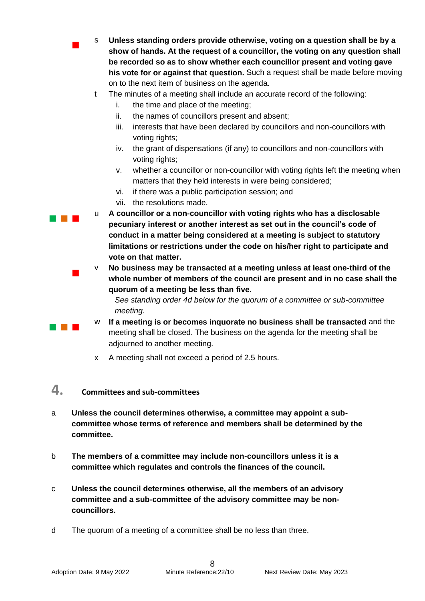s **Unless standing orders provide otherwise, voting on a question shall be by a show of hands. At the request of a councillor, the voting on any question shall be recorded so as to show whether each councillor present and voting gave his vote for or against that question.** Such a request shall be made before moving on to the next item of business on the agenda.

- t The minutes of a meeting shall include an accurate record of the following:
	- i. the time and place of the meeting;
	- ii. the names of councillors present and absent;
	- iii. interests that have been declared by councillors and non-councillors with voting rights:
	- iv. the grant of dispensations (if any) to councillors and non-councillors with voting rights;
	- v. whether a councillor or non-councillor with voting rights left the meeting when matters that they held interests in were being considered;
	- vi. if there was a public participation session; and
	- vii. the resolutions made.

 $\overline{\phantom{a}}$ 

 $\blacksquare$ 

 $\sim 10^{-1}$ 

- $\sim 10^{-1}$ u **A councillor or a non-councillor with voting rights who has a disclosable pecuniary interest or another interest as set out in the council's code of conduct in a matter being considered at a meeting is subject to statutory limitations or restrictions under the code on his/her right to participate and vote on that matter.**
	- v **No business may be transacted at a meeting unless at least one-third of the whole number of members of the council are present and in no case shall the quorum of a meeting be less than five.**

*See standing order 4d below for the quorum of a committee or sub-committee meeting.* 

- w **If a meeting is or becomes inquorate no business shall be transacted** and the meeting shall be closed. The business on the agenda for the meeting shall be adjourned to another meeting.
	- x A meeting shall not exceed a period of 2.5 hours.

#### **4. Committees and sub-committees**

- a **Unless the council determines otherwise, a committee may appoint a subcommittee whose terms of reference and members shall be determined by the committee.**
- b **The members of a committee may include non-councillors unless it is a committee which regulates and controls the finances of the council.**
- c **Unless the council determines otherwise, all the members of an advisory committee and a sub-committee of the advisory committee may be noncouncillors.**
- d The quorum of a meeting of a committee shall be no less than three.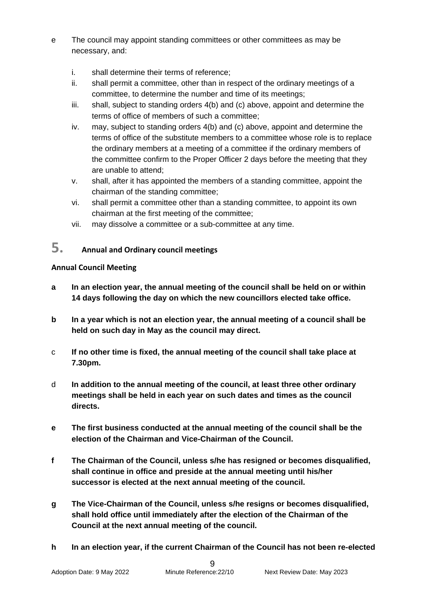- e The council may appoint standing committees or other committees as may be necessary, and:
	- i. shall determine their terms of reference;
	- ii. shall permit a committee, other than in respect of the ordinary meetings of a committee, to determine the number and time of its meetings;
	- iii. shall, subject to standing orders 4(b) and (c) above, appoint and determine the terms of office of members of such a committee;
	- iv. may, subject to standing orders 4(b) and (c) above, appoint and determine the terms of office of the substitute members to a committee whose role is to replace the ordinary members at a meeting of a committee if the ordinary members of the committee confirm to the Proper Officer 2 days before the meeting that they are unable to attend;
	- v. shall, after it has appointed the members of a standing committee, appoint the chairman of the standing committee;
	- vi. shall permit a committee other than a standing committee, to appoint its own chairman at the first meeting of the committee;
	- vii. may dissolve a committee or a sub-committee at any time.

## **5. Annual and Ordinary council meetings**

#### **Annual Council Meeting**

- **a In an election year, the annual meeting of the council shall be held on or within 14 days following the day on which the new councillors elected take office.**
- **b In a year which is not an election year, the annual meeting of a council shall be held on such day in May as the council may direct.**
- c **If no other time is fixed, the annual meeting of the council shall take place at 7.30pm.**
- d **In addition to the annual meeting of the council, at least three other ordinary meetings shall be held in each year on such dates and times as the council directs.**
- **e The first business conducted at the annual meeting of the council shall be the election of the Chairman and Vice-Chairman of the Council.**
- **f The Chairman of the Council, unless s/he has resigned or becomes disqualified, shall continue in office and preside at the annual meeting until his/her successor is elected at the next annual meeting of the council.**
- **g The Vice-Chairman of the Council, unless s/he resigns or becomes disqualified, shall hold office until immediately after the election of the Chairman of the Council at the next annual meeting of the council.**
- **h In an election year, if the current Chairman of the Council has not been re-elected**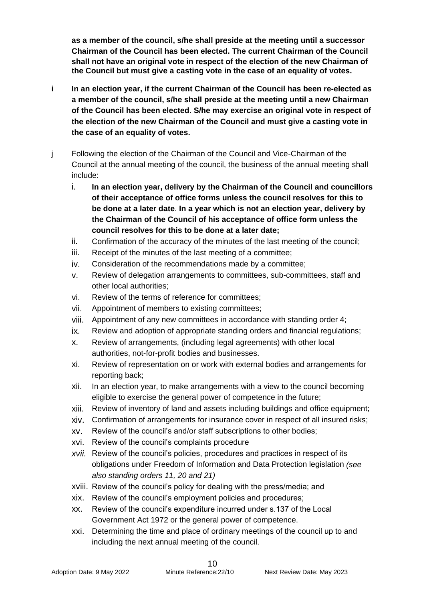**as a member of the council, s/he shall preside at the meeting until a successor Chairman of the Council has been elected. The current Chairman of the Council shall not have an original vote in respect of the election of the new Chairman of the Council but must give a casting vote in the case of an equality of votes.** 

- **i In an election year, if the current Chairman of the Council has been re-elected as a member of the council, s/he shall preside at the meeting until a new Chairman of the Council has been elected. S/he may exercise an original vote in respect of the election of the new Chairman of the Council and must give a casting vote in the case of an equality of votes.**
- j Following the election of the Chairman of the Council and Vice-Chairman of the Council at the annual meeting of the council, the business of the annual meeting shall include:
	- i. **In an election year, delivery by the Chairman of the Council and councillors of their acceptance of office forms unless the council resolves for this to be done at a later date**. **In a year which is not an election year, delivery by the Chairman of the Council of his acceptance of office form unless the council resolves for this to be done at a later date;**
	- ii. Confirmation of the accuracy of the minutes of the last meeting of the council;
	- iii. Receipt of the minutes of the last meeting of a committee;
	- iv. Consideration of the recommendations made by a committee;
	- v. Review of delegation arrangements to committees, sub-committees, staff and other local authorities;
	- vi. Review of the terms of reference for committees;
	- vii. Appointment of members to existing committees;
	- viii. Appointment of any new committees in accordance with standing order 4;
	- ix. Review and adoption of appropriate standing orders and financial regulations;
	- x. Review of arrangements, (including legal agreements) with other local authorities, not-for-profit bodies and businesses.
	- xi. Review of representation on or work with external bodies and arrangements for reporting back;
	- xii. In an election year, to make arrangements with a view to the council becoming eligible to exercise the general power of competence in the future;
	- xiii. Review of inventory of land and assets including buildings and office equipment;
	- xiv. Confirmation of arrangements for insurance cover in respect of all insured risks;
	- xv. Review of the council's and/or staff subscriptions to other bodies;
	- xvi. Review of the council's complaints procedure
	- *xvii.* Review of the council's policies, procedures and practices in respect of its obligations under Freedom of Information and Data Protection legislation *(see also standing orders 11, 20 and 21)*
	- xviii. Review of the council's policy for dealing with the press/media; and
	- xix. Review of the council's employment policies and procedures;
	- xx. Review of the council's expenditure incurred under s.137 of the Local Government Act 1972 or the general power of competence.
	- xxi. Determining the time and place of ordinary meetings of the council up to and including the next annual meeting of the council.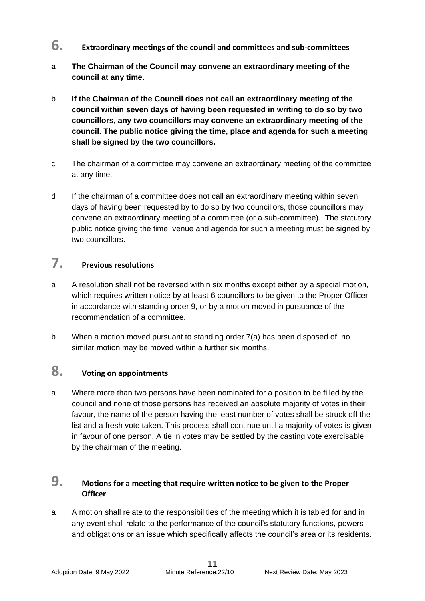- **6. Extraordinary meetings of the council and committees and sub-committees**
- **a The Chairman of the Council may convene an extraordinary meeting of the council at any time.**
- b **If the Chairman of the Council does not call an extraordinary meeting of the council within seven days of having been requested in writing to do so by two councillors, any two councillors may convene an extraordinary meeting of the council. The public notice giving the time, place and agenda for such a meeting shall be signed by the two councillors.**
- c The chairman of a committee may convene an extraordinary meeting of the committee at any time.
- d If the chairman of a committee does not call an extraordinary meeting within seven days of having been requested by to do so by two councillors, those councillors may convene an extraordinary meeting of a committee (or a sub-committee). The statutory public notice giving the time, venue and agenda for such a meeting must be signed by two councillors.

## **7. Previous resolutions**

- a A resolution shall not be reversed within six months except either by a special motion, which requires written notice by at least 6 councillors to be given to the Proper Officer in accordance with standing order 9, or by a motion moved in pursuance of the recommendation of a committee.
- b When a motion moved pursuant to standing order 7(a) has been disposed of, no similar motion may be moved within a further six months.

## **8. Voting on appointments**

a Where more than two persons have been nominated for a position to be filled by the council and none of those persons has received an absolute majority of votes in their favour, the name of the person having the least number of votes shall be struck off the list and a fresh vote taken. This process shall continue until a majority of votes is given in favour of one person. A tie in votes may be settled by the casting vote exercisable by the chairman of the meeting.

#### **9. Motions for a meeting that require written notice to be given to the Proper Officer**

a A motion shall relate to the responsibilities of the meeting which it is tabled for and in any event shall relate to the performance of the council's statutory functions, powers and obligations or an issue which specifically affects the council's area or its residents.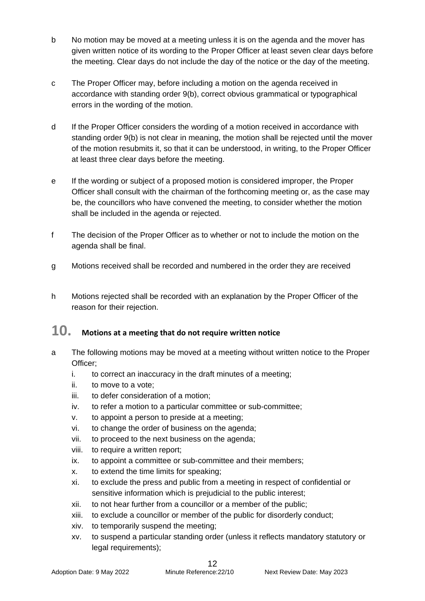- b No motion may be moved at a meeting unless it is on the agenda and the mover has given written notice of its wording to the Proper Officer at least seven clear days before the meeting. Clear days do not include the day of the notice or the day of the meeting.
- c The Proper Officer may, before including a motion on the agenda received in accordance with standing order 9(b), correct obvious grammatical or typographical errors in the wording of the motion.
- d If the Proper Officer considers the wording of a motion received in accordance with standing order 9(b) is not clear in meaning, the motion shall be rejected until the mover of the motion resubmits it, so that it can be understood, in writing, to the Proper Officer at least three clear days before the meeting.
- e If the wording or subject of a proposed motion is considered improper, the Proper Officer shall consult with the chairman of the forthcoming meeting or, as the case may be, the councillors who have convened the meeting, to consider whether the motion shall be included in the agenda or rejected.
- f The decision of the Proper Officer as to whether or not to include the motion on the agenda shall be final.
- g Motions received shall be recorded and numbered in the order they are received
- h Motions rejected shall be recorded with an explanation by the Proper Officer of the reason for their rejection.

## **10. Motions at a meeting that do not require written notice**

- a The following motions may be moved at a meeting without written notice to the Proper Officer;
	- i. to correct an inaccuracy in the draft minutes of a meeting;
	- ii. to move to a vote;
	- iii. to defer consideration of a motion;
	- iv. to refer a motion to a particular committee or sub-committee;
	- v. to appoint a person to preside at a meeting;
	- vi. to change the order of business on the agenda;
	- vii. to proceed to the next business on the agenda;
	- viii. to require a written report;
	- ix. to appoint a committee or sub-committee and their members;
	- x. to extend the time limits for speaking;
	- xi. to exclude the press and public from a meeting in respect of confidential or sensitive information which is prejudicial to the public interest;
	- xii. to not hear further from a councillor or a member of the public;
	- xiii. to exclude a councillor or member of the public for disorderly conduct;
	- xiv. to temporarily suspend the meeting;
	- xv. to suspend a particular standing order (unless it reflects mandatory statutory or legal requirements);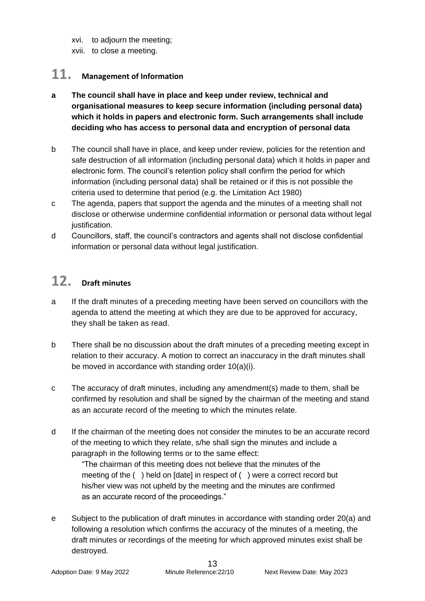xvi. to adjourn the meeting;

xvii. to close a meeting.

## **11. Management of Information**

#### **a The council shall have in place and keep under review, technical and organisational measures to keep secure information (including personal data) which it holds in papers and electronic form. Such arrangements shall include deciding who has access to personal data and encryption of personal data**

- b The council shall have in place, and keep under review, policies for the retention and safe destruction of all information (including personal data) which it holds in paper and electronic form. The council's retention policy shall confirm the period for which information (including personal data) shall be retained or if this is not possible the criteria used to determine that period (e.g. the Limitation Act 1980)
- c The agenda, papers that support the agenda and the minutes of a meeting shall not disclose or otherwise undermine confidential information or personal data without legal justification.
- d Councillors, staff, the council's contractors and agents shall not disclose confidential information or personal data without legal justification.

## **12. Draft minutes**

- a If the draft minutes of a preceding meeting have been served on councillors with the agenda to attend the meeting at which they are due to be approved for accuracy, they shall be taken as read.
- b There shall be no discussion about the draft minutes of a preceding meeting except in relation to their accuracy. A motion to correct an inaccuracy in the draft minutes shall be moved in accordance with standing order 10(a)(i).
- c The accuracy of draft minutes, including any amendment(s) made to them, shall be confirmed by resolution and shall be signed by the chairman of the meeting and stand as an accurate record of the meeting to which the minutes relate.
- d If the chairman of the meeting does not consider the minutes to be an accurate record of the meeting to which they relate, s/he shall sign the minutes and include a paragraph in the following terms or to the same effect:

"The chairman of this meeting does not believe that the minutes of the meeting of the ( ) held on [date] in respect of ( ) were a correct record but his/her view was not upheld by the meeting and the minutes are confirmed as an accurate record of the proceedings."

e Subject to the publication of draft minutes in accordance with standing order 20(a) and following a resolution which confirms the accuracy of the minutes of a meeting, the draft minutes or recordings of the meeting for which approved minutes exist shall be destroyed.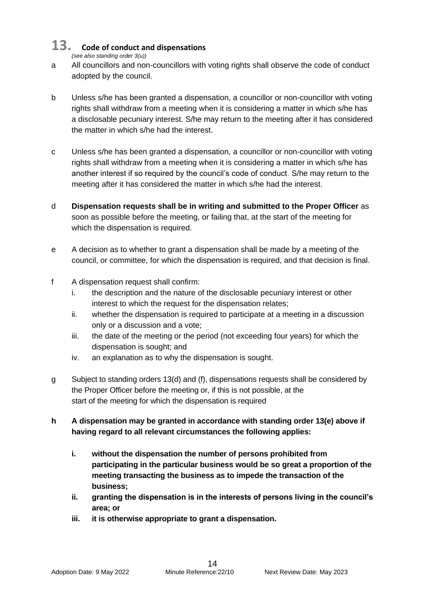## **13. Code of conduct and dispensations**

*(see also standing order 3(u))*

- a All councillors and non-councillors with voting rights shall observe the code of conduct adopted by the council.
- b Unless s/he has been granted a dispensation, a councillor or non-councillor with voting rights shall withdraw from a meeting when it is considering a matter in which s/he has a disclosable pecuniary interest. S/he may return to the meeting after it has considered the matter in which s/he had the interest.
- c Unless s/he has been granted a dispensation, a councillor or non-councillor with voting rights shall withdraw from a meeting when it is considering a matter in which s/he has another interest if so required by the council's code of conduct. S/he may return to the meeting after it has considered the matter in which s/he had the interest.
- d **Dispensation requests shall be in writing and submitted to the Proper Officer** as soon as possible before the meeting, or failing that, at the start of the meeting for which the dispensation is required.
- e A decision as to whether to grant a dispensation shall be made by a meeting of the council, or committee, for which the dispensation is required, and that decision is final.
- f A dispensation request shall confirm:
	- i. the description and the nature of the disclosable pecuniary interest or other interest to which the request for the dispensation relates;
	- ii. whether the dispensation is required to participate at a meeting in a discussion only or a discussion and a vote;
	- iii. the date of the meeting or the period (not exceeding four years) for which the dispensation is sought; and
	- iv. an explanation as to why the dispensation is sought.
- g Subject to standing orders 13(d) and (f), dispensations requests shall be considered by the Proper Officer before the meeting or, if this is not possible, at the start of the meeting for which the dispensation is required
- **h A dispensation may be granted in accordance with standing order 13(e) above if having regard to all relevant circumstances the following applies:**
	- **i. without the dispensation the number of persons prohibited from participating in the particular business would be so great a proportion of the meeting transacting the business as to impede the transaction of the business;**
	- **ii. granting the dispensation is in the interests of persons living in the council's area; or**
	- **iii. it is otherwise appropriate to grant a dispensation.**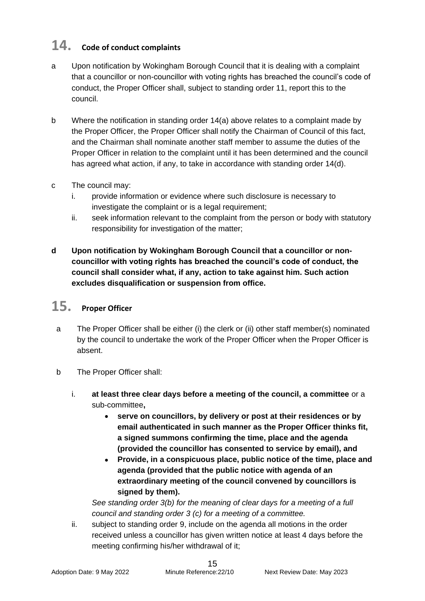## **14. Code of conduct complaints**

- a Upon notification by Wokingham Borough Council that it is dealing with a complaint that a councillor or non-councillor with voting rights has breached the council's code of conduct, the Proper Officer shall, subject to standing order 11, report this to the council.
- b Where the notification in standing order 14(a) above relates to a complaint made by the Proper Officer, the Proper Officer shall notify the Chairman of Council of this fact, and the Chairman shall nominate another staff member to assume the duties of the Proper Officer in relation to the complaint until it has been determined and the council has agreed what action, if any, to take in accordance with standing order 14(d).
- c The council may:
	- i. provide information or evidence where such disclosure is necessary to investigate the complaint or is a legal requirement;
	- ii. seek information relevant to the complaint from the person or body with statutory responsibility for investigation of the matter;
- **d Upon notification by Wokingham Borough Council that a councillor or noncouncillor with voting rights has breached the council's code of conduct, the council shall consider what, if any, action to take against him. Such action excludes disqualification or suspension from office.**

## **15. Proper Officer**

- a The Proper Officer shall be either (i) the clerk or (ii) other staff member(s) nominated by the council to undertake the work of the Proper Officer when the Proper Officer is absent.
- b The Proper Officer shall:
	- i. **at least three clear days before a meeting of the council, a committee** or a sub-committee**,** 
		- **serve on councillors, by delivery or post at their residences or by email authenticated in such manner as the Proper Officer thinks fit, a signed summons confirming the time, place and the agenda (provided the councillor has consented to service by email), and**
		- **Provide, in a conspicuous place, public notice of the time, place and agenda (provided that the public notice with agenda of an extraordinary meeting of the council convened by councillors is signed by them).**

*See standing order 3(b) for the meaning of clear days for a meeting of a full council and standing order 3 (c) for a meeting of a committee.* 

ii. subject to standing order 9, include on the agenda all motions in the order received unless a councillor has given written notice at least 4 days before the meeting confirming his/her withdrawal of it;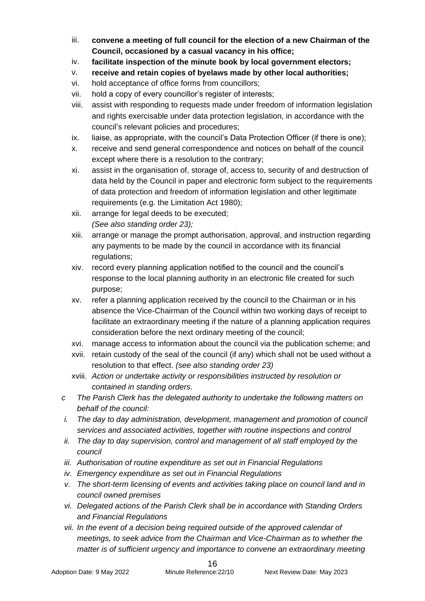- iii. **convene a meeting of full council for the election of a new Chairman of the Council, occasioned by a casual vacancy in his office;**
- iv. **facilitate inspection of the minute book by local government electors;**
- v. **receive and retain copies of byelaws made by other local authorities;**
- vi. hold acceptance of office forms from councillors;
- vii. hold a copy of every councillor's register of interests;
- viii. assist with responding to requests made under freedom of information legislation and rights exercisable under data protection legislation, in accordance with the council's relevant policies and procedures;
- ix. liaise, as appropriate, with the council's Data Protection Officer (if there is one);
- x. receive and send general correspondence and notices on behalf of the council except where there is a resolution to the contrary;
- xi. assist in the organisation of, storage of, access to, security of and destruction of data held by the Council in paper and electronic form subject to the requirements of data protection and freedom of information legislation and other legitimate requirements (e.g. the Limitation Act 1980);
- xii. arrange for legal deeds to be executed; *(See also standing order 23);*
- xiii. arrange or manage the prompt authorisation, approval, and instruction regarding any payments to be made by the council in accordance with its financial regulations;
- xiv. record every planning application notified to the council and the council's response to the local planning authority in an electronic file created for such purpose;
- xv. refer a planning application received by the council to the Chairman or in his absence the Vice-Chairman of the Council within two working days of receipt to facilitate an extraordinary meeting if the nature of a planning application requires consideration before the next ordinary meeting of the council;
- xvi. manage access to information about the council via the publication scheme; and
- xvii. retain custody of the seal of the council (if any) which shall not be used without a resolution to that effect. *(see also standing order 23)*
- xviii. *Action or undertake activity or responsibilities instructed by resolution or contained in standing orders.*
- *c The Parish Clerk has the delegated authority to undertake the following matters on behalf of the council:*
- *i. The day to day administration, development, management and promotion of council services and associated activities, together with routine inspections and control*
- *ii. The day to day supervision, control and management of all staff employed by the council*
- *iii. Authorisation of routine expenditure as set out in Financial Regulations*
- *iv. Emergency expenditure as set out in Financial Regulations*
- *v. The short-term licensing of events and activities taking place on council land and in council owned premises*
- *vi. Delegated actions of the Parish Clerk shall be in accordance with Standing Orders and Financial Regulations*
- *vii. In the event of a decision being required outside of the approved calendar of meetings, to seek advice from the Chairman and Vice-Chairman as to whether the matter is of sufficient urgency and importance to convene an extraordinary meeting*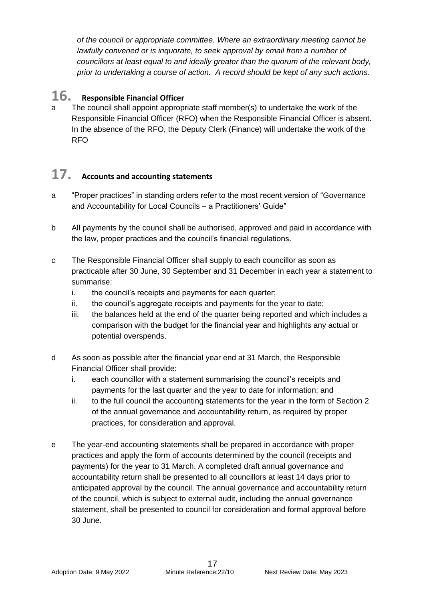*of the council or appropriate committee. Where an extraordinary meeting cannot be lawfully convened or is inquorate, to seek approval by email from a number of councillors at least equal to and ideally greater than the quorum of the relevant body, prior to undertaking a course of action. A record should be kept of any such actions.* 

## **16. Responsible Financial Officer**

The council shall appoint appropriate staff member(s) to undertake the work of the Responsible Financial Officer (RFO) when the Responsible Financial Officer is absent. In the absence of the RFO, the Deputy Clerk (Finance) will undertake the work of the RFO

## **17. Accounts and accounting statements**

- a "Proper practices" in standing orders refer to the most recent version of "Governance and Accountability for Local Councils – a Practitioners' Guide"
- b All payments by the council shall be authorised, approved and paid in accordance with the law, proper practices and the council's financial regulations.
- c The Responsible Financial Officer shall supply to each councillor as soon as practicable after 30 June, 30 September and 31 December in each year a statement to summarise:
	- i. the council's receipts and payments for each quarter;
	- ii. the council's aggregate receipts and payments for the year to date;
	- iii. the balances held at the end of the quarter being reported and which includes a comparison with the budget for the financial year and highlights any actual or potential overspends.
- d As soon as possible after the financial year end at 31 March, the Responsible Financial Officer shall provide:
	- i. each councillor with a statement summarising the council's receipts and payments for the last quarter and the year to date for information; and
	- ii. to the full council the accounting statements for the year in the form of Section 2 of the annual governance and accountability return, as required by proper practices, for consideration and approval.
- e The year-end accounting statements shall be prepared in accordance with proper practices and apply the form of accounts determined by the council (receipts and payments) for the year to 31 March. A completed draft annual governance and accountability return shall be presented to all councillors at least 14 days prior to anticipated approval by the council. The annual governance and accountability return of the council, which is subject to external audit, including the annual governance statement, shall be presented to council for consideration and formal approval before 30 June.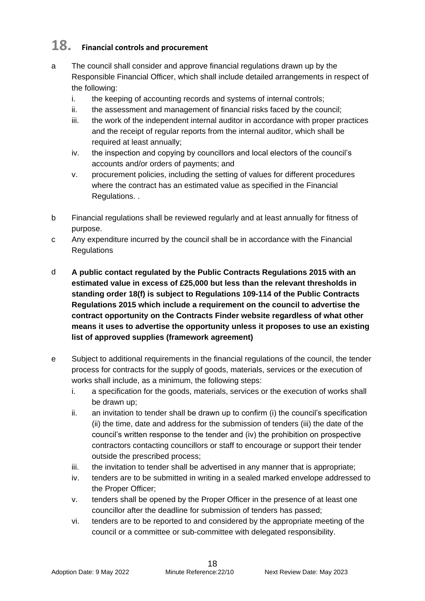## **18. Financial controls and procurement**

- a The council shall consider and approve financial regulations drawn up by the Responsible Financial Officer, which shall include detailed arrangements in respect of the following:
	- i. the keeping of accounting records and systems of internal controls;
	- ii. the assessment and management of financial risks faced by the council;
	- iii. the work of the independent internal auditor in accordance with proper practices and the receipt of regular reports from the internal auditor, which shall be required at least annually;
	- iv. the inspection and copying by councillors and local electors of the council's accounts and/or orders of payments; and
	- v. procurement policies, including the setting of values for different procedures where the contract has an estimated value as specified in the Financial Regulations. .
- b Financial regulations shall be reviewed regularly and at least annually for fitness of purpose.
- c Any expenditure incurred by the council shall be in accordance with the Financial **Regulations**
- d **A public contact regulated by the Public Contracts Regulations 2015 with an estimated value in excess of £25,000 but less than the relevant thresholds in standing order 18(f) is subject to Regulations 109-114 of the Public Contracts Regulations 2015 which include a requirement on the council to advertise the contract opportunity on the Contracts Finder website regardless of what other means it uses to advertise the opportunity unless it proposes to use an existing list of approved supplies (framework agreement)**
- e Subject to additional requirements in the financial regulations of the council, the tender process for contracts for the supply of goods, materials, services or the execution of works shall include, as a minimum, the following steps:
	- i. a specification for the goods, materials, services or the execution of works shall be drawn up;
	- ii. an invitation to tender shall be drawn up to confirm (i) the council's specification (ii) the time, date and address for the submission of tenders (iii) the date of the council's written response to the tender and (iv) the prohibition on prospective contractors contacting councillors or staff to encourage or support their tender outside the prescribed process;
	- iii. the invitation to tender shall be advertised in any manner that is appropriate;
	- iv. tenders are to be submitted in writing in a sealed marked envelope addressed to the Proper Officer;
	- v. tenders shall be opened by the Proper Officer in the presence of at least one councillor after the deadline for submission of tenders has passed;
	- vi. tenders are to be reported to and considered by the appropriate meeting of the council or a committee or sub-committee with delegated responsibility.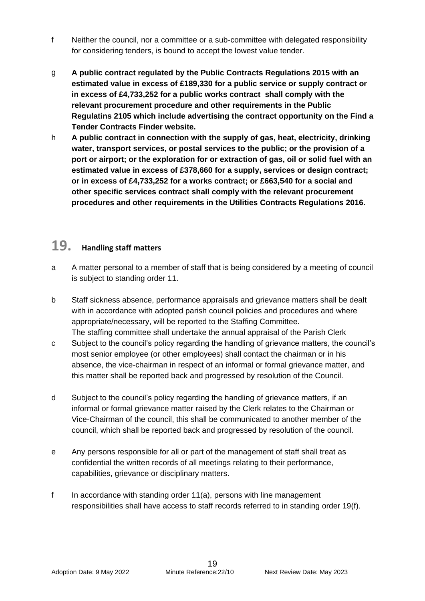- f Neither the council, nor a committee or a sub-committee with delegated responsibility for considering tenders, is bound to accept the lowest value tender.
- g **A public contract regulated by the Public Contracts Regulations 2015 with an estimated value in excess of £189,330 for a public service or supply contract or in excess of £4,733,252 for a public works contract shall comply with the relevant procurement procedure and other requirements in the Public Regulatins 2105 which include advertising the contract opportunity on the Find a Tender Contracts Finder website.**
- h **A public contract in connection with the supply of gas, heat, electricity, drinking water, transport services, or postal services to the public; or the provision of a port or airport; or the exploration for or extraction of gas, oil or solid fuel with an estimated value in excess of £378,660 for a supply, services or design contract; or in excess of £4,733,252 for a works contract; or £663,540 for a social and other specific services contract shall comply with the relevant procurement procedures and other requirements in the Utilities Contracts Regulations 2016.**

## **19. Handling staff matters**

- a A matter personal to a member of staff that is being considered by a meeting of council is subject to standing order 11.
- b Staff sickness absence, performance appraisals and grievance matters shall be dealt with in accordance with adopted parish council policies and procedures and where appropriate/necessary, will be reported to the Staffing Committee. The staffing committee shall undertake the annual appraisal of the Parish Clerk
- c Subject to the council's policy regarding the handling of grievance matters, the council's most senior employee (or other employees) shall contact the chairman or in his absence, the vice-chairman in respect of an informal or formal grievance matter, and this matter shall be reported back and progressed by resolution of the Council.
- d Subject to the council's policy regarding the handling of grievance matters, if an informal or formal grievance matter raised by the Clerk relates to the Chairman or Vice-Chairman of the council, this shall be communicated to another member of the council, which shall be reported back and progressed by resolution of the council.
- e Any persons responsible for all or part of the management of staff shall treat as confidential the written records of all meetings relating to their performance, capabilities, grievance or disciplinary matters.
- f In accordance with standing order 11(a), persons with line management responsibilities shall have access to staff records referred to in standing order 19(f).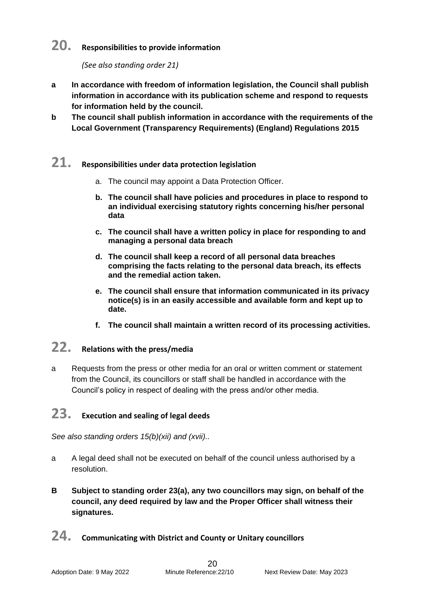## **20. Responsibilities to provide information**

*(See also standing order 21)*

- **a In accordance with freedom of information legislation, the Council shall publish information in accordance with its publication scheme and respond to requests for information held by the council.**
- **b The council shall publish information in accordance with the requirements of the Local Government (Transparency Requirements) (England) Regulations 2015**

#### **21. Responsibilities under data protection legislation**

- a. The council may appoint a Data Protection Officer.
- **b. The council shall have policies and procedures in place to respond to an individual exercising statutory rights concerning his/her personal data**
- **c. The council shall have a written policy in place for responding to and managing a personal data breach**
- **d. The council shall keep a record of all personal data breaches comprising the facts relating to the personal data breach, its effects and the remedial action taken.**
- **e. The council shall ensure that information communicated in its privacy notice(s) is in an easily accessible and available form and kept up to date.**
- **f. The council shall maintain a written record of its processing activities.**

## **22. Relations with the press/media**

a Requests from the press or other media for an oral or written comment or statement from the Council, its councillors or staff shall be handled in accordance with the Council's policy in respect of dealing with the press and/or other media.

#### **23. Execution and sealing of legal deeds**

*See also standing orders 15(b)(xii) and (xvii)..*

- a A legal deed shall not be executed on behalf of the council unless authorised by a resolution.
- **B Subject to standing order 23(a), any two councillors may sign, on behalf of the council, any deed required by law and the Proper Officer shall witness their signatures.**
- **24. Communicating with District and County or Unitary councillors**